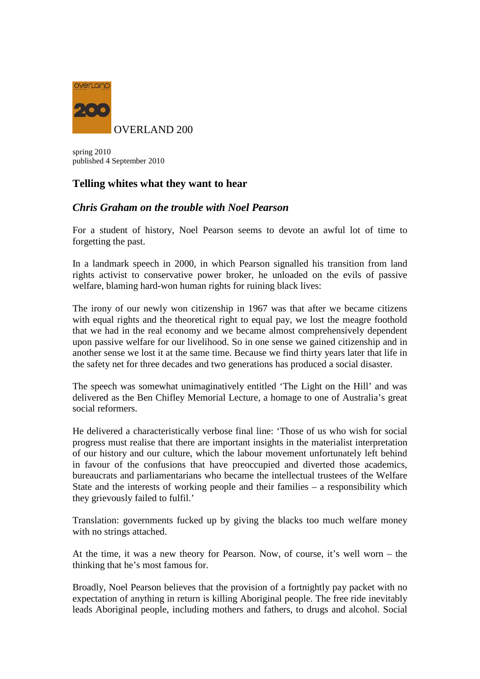

spring 2010 published 4 September 2010

## **Telling whites what they want to hear**

## *Chris Graham on the trouble with Noel Pearson*

For a student of history, Noel Pearson seems to devote an awful lot of time to forgetting the past.

In a landmark speech in 2000, in which Pearson signalled his transition from land rights activist to conservative power broker, he unloaded on the evils of passive welfare, blaming hard-won human rights for ruining black lives:

The irony of our newly won citizenship in 1967 was that after we became citizens with equal rights and the theoretical right to equal pay, we lost the meagre foothold that we had in the real economy and we became almost comprehensively dependent upon passive welfare for our livelihood. So in one sense we gained citizenship and in another sense we lost it at the same time. Because we find thirty years later that life in the safety net for three decades and two generations has produced a social disaster.

The speech was somewhat unimaginatively entitled 'The Light on the Hill' and was delivered as the Ben Chifley Memorial Lecture, a homage to one of Australia's great social reformers.

He delivered a characteristically verbose final line: 'Those of us who wish for social progress must realise that there are important insights in the materialist interpretation of our history and our culture, which the labour movement unfortunately left behind in favour of the confusions that have preoccupied and diverted those academics, bureaucrats and parliamentarians who became the intellectual trustees of the Welfare State and the interests of working people and their families – a responsibility which they grievously failed to fulfil.'

Translation: governments fucked up by giving the blacks too much welfare money with no strings attached.

At the time, it was a new theory for Pearson. Now, of course, it's well worn – the thinking that he's most famous for.

Broadly, Noel Pearson believes that the provision of a fortnightly pay packet with no expectation of anything in return is killing Aboriginal people. The free ride inevitably leads Aboriginal people, including mothers and fathers, to drugs and alcohol. Social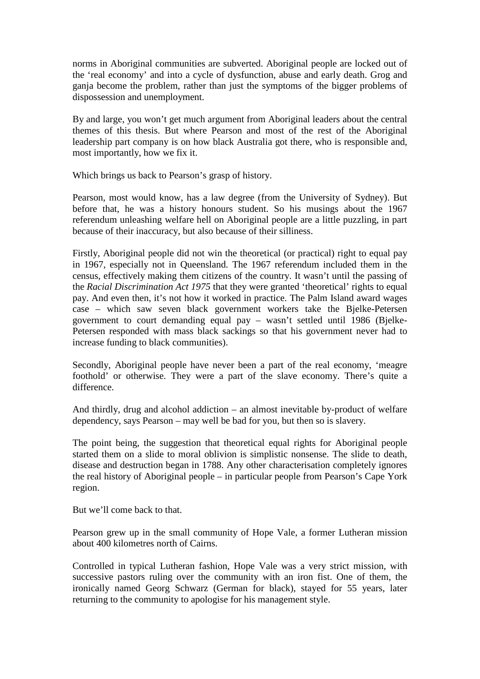norms in Aboriginal communities are subverted. Aboriginal people are locked out of the 'real economy' and into a cycle of dysfunction, abuse and early death. Grog and ganja become the problem, rather than just the symptoms of the bigger problems of dispossession and unemployment.

By and large, you won't get much argument from Aboriginal leaders about the central themes of this thesis. But where Pearson and most of the rest of the Aboriginal leadership part company is on how black Australia got there, who is responsible and, most importantly, how we fix it.

Which brings us back to Pearson's grasp of history.

Pearson, most would know, has a law degree (from the University of Sydney). But before that, he was a history honours student. So his musings about the 1967 referendum unleashing welfare hell on Aboriginal people are a little puzzling, in part because of their inaccuracy, but also because of their silliness.

Firstly, Aboriginal people did not win the theoretical (or practical) right to equal pay in 1967, especially not in Queensland. The 1967 referendum included them in the census, effectively making them citizens of the country. It wasn't until the passing of the *Racial Discrimination Act 1975* that they were granted 'theoretical' rights to equal pay. And even then, it's not how it worked in practice. The Palm Island award wages case – which saw seven black government workers take the Bjelke-Petersen government to court demanding equal pay – wasn't settled until 1986 (Bjelke-Petersen responded with mass black sackings so that his government never had to increase funding to black communities).

Secondly, Aboriginal people have never been a part of the real economy, 'meagre foothold' or otherwise. They were a part of the slave economy. There's quite a difference.

And thirdly, drug and alcohol addiction – an almost inevitable by-product of welfare dependency, says Pearson – may well be bad for you, but then so is slavery.

The point being, the suggestion that theoretical equal rights for Aboriginal people started them on a slide to moral oblivion is simplistic nonsense. The slide to death, disease and destruction began in 1788. Any other characterisation completely ignores the real history of Aboriginal people – in particular people from Pearson's Cape York region.

But we'll come back to that.

Pearson grew up in the small community of Hope Vale, a former Lutheran mission about 400 kilometres north of Cairns.

Controlled in typical Lutheran fashion, Hope Vale was a very strict mission, with successive pastors ruling over the community with an iron fist. One of them, the ironically named Georg Schwarz (German for black), stayed for 55 years, later returning to the community to apologise for his management style.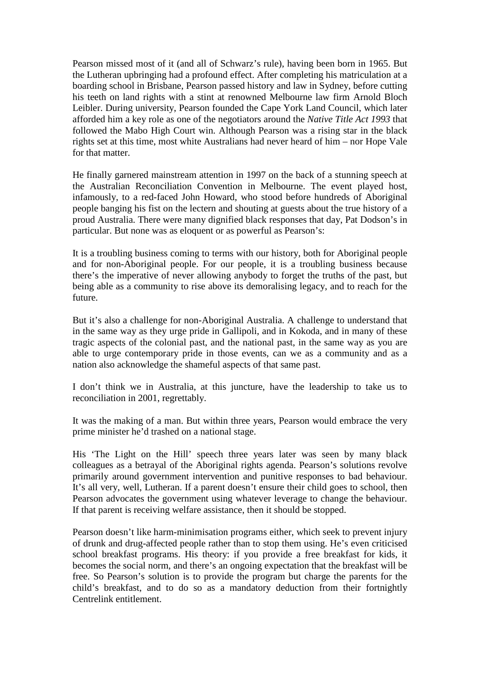Pearson missed most of it (and all of Schwarz's rule), having been born in 1965. But the Lutheran upbringing had a profound effect. After completing his matriculation at a boarding school in Brisbane, Pearson passed history and law in Sydney, before cutting his teeth on land rights with a stint at renowned Melbourne law firm Arnold Bloch Leibler. During university, Pearson founded the Cape York Land Council, which later afforded him a key role as one of the negotiators around the *Native Title Act 1993* that followed the Mabo High Court win. Although Pearson was a rising star in the black rights set at this time, most white Australians had never heard of him – nor Hope Vale for that matter.

He finally garnered mainstream attention in 1997 on the back of a stunning speech at the Australian Reconciliation Convention in Melbourne. The event played host, infamously, to a red-faced John Howard, who stood before hundreds of Aboriginal people banging his fist on the lectern and shouting at guests about the true history of a proud Australia. There were many dignified black responses that day, Pat Dodson's in particular. But none was as eloquent or as powerful as Pearson's:

It is a troubling business coming to terms with our history, both for Aboriginal people and for non-Aboriginal people. For our people, it is a troubling business because there's the imperative of never allowing anybody to forget the truths of the past, but being able as a community to rise above its demoralising legacy, and to reach for the future.

But it's also a challenge for non-Aboriginal Australia. A challenge to understand that in the same way as they urge pride in Gallipoli, and in Kokoda, and in many of these tragic aspects of the colonial past, and the national past, in the same way as you are able to urge contemporary pride in those events, can we as a community and as a nation also acknowledge the shameful aspects of that same past.

I don't think we in Australia, at this juncture, have the leadership to take us to reconciliation in 2001, regrettably.

It was the making of a man. But within three years, Pearson would embrace the very prime minister he'd trashed on a national stage.

His 'The Light on the Hill' speech three years later was seen by many black colleagues as a betrayal of the Aboriginal rights agenda. Pearson's solutions revolve primarily around government intervention and punitive responses to bad behaviour. It's all very, well, Lutheran. If a parent doesn't ensure their child goes to school, then Pearson advocates the government using whatever leverage to change the behaviour. If that parent is receiving welfare assistance, then it should be stopped.

Pearson doesn't like harm-minimisation programs either, which seek to prevent injury of drunk and drug-affected people rather than to stop them using. He's even criticised school breakfast programs. His theory: if you provide a free breakfast for kids, it becomes the social norm, and there's an ongoing expectation that the breakfast will be free. So Pearson's solution is to provide the program but charge the parents for the child's breakfast, and to do so as a mandatory deduction from their fortnightly Centrelink entitlement.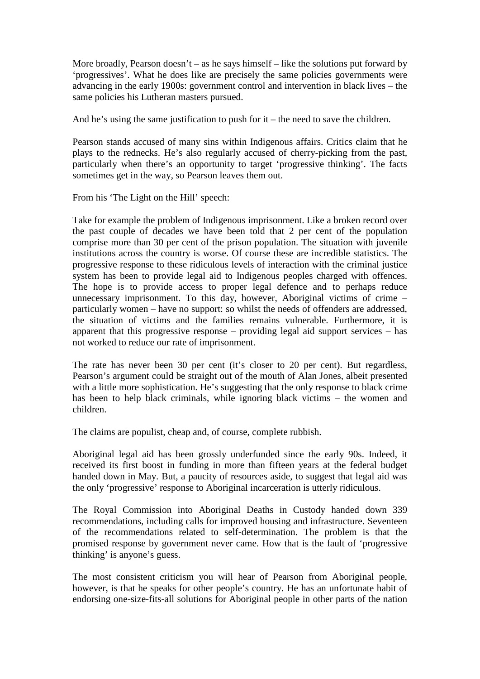More broadly, Pearson doesn't – as he says himself – like the solutions put forward by 'progressives'. What he does like are precisely the same policies governments were advancing in the early 1900s: government control and intervention in black lives – the same policies his Lutheran masters pursued.

And he's using the same justification to push for  $it$  – the need to save the children.

Pearson stands accused of many sins within Indigenous affairs. Critics claim that he plays to the rednecks. He's also regularly accused of cherry-picking from the past, particularly when there's an opportunity to target 'progressive thinking'. The facts sometimes get in the way, so Pearson leaves them out.

From his 'The Light on the Hill' speech:

Take for example the problem of Indigenous imprisonment. Like a broken record over the past couple of decades we have been told that 2 per cent of the population comprise more than 30 per cent of the prison population. The situation with juvenile institutions across the country is worse. Of course these are incredible statistics. The progressive response to these ridiculous levels of interaction with the criminal justice system has been to provide legal aid to Indigenous peoples charged with offences. The hope is to provide access to proper legal defence and to perhaps reduce unnecessary imprisonment. To this day, however, Aboriginal victims of crime – particularly women – have no support: so whilst the needs of offenders are addressed, the situation of victims and the families remains vulnerable. Furthermore, it is apparent that this progressive response – providing legal aid support services – has not worked to reduce our rate of imprisonment.

The rate has never been 30 per cent (it's closer to 20 per cent). But regardless, Pearson's argument could be straight out of the mouth of Alan Jones, albeit presented with a little more sophistication. He's suggesting that the only response to black crime has been to help black criminals, while ignoring black victims – the women and children.

The claims are populist, cheap and, of course, complete rubbish.

Aboriginal legal aid has been grossly underfunded since the early 90s. Indeed, it received its first boost in funding in more than fifteen years at the federal budget handed down in May. But, a paucity of resources aside, to suggest that legal aid was the only 'progressive' response to Aboriginal incarceration is utterly ridiculous.

The Royal Commission into Aboriginal Deaths in Custody handed down 339 recommendations, including calls for improved housing and infrastructure. Seventeen of the recommendations related to self-determination. The problem is that the promised response by government never came. How that is the fault of 'progressive thinking' is anyone's guess.

The most consistent criticism you will hear of Pearson from Aboriginal people, however, is that he speaks for other people's country. He has an unfortunate habit of endorsing one-size-fits-all solutions for Aboriginal people in other parts of the nation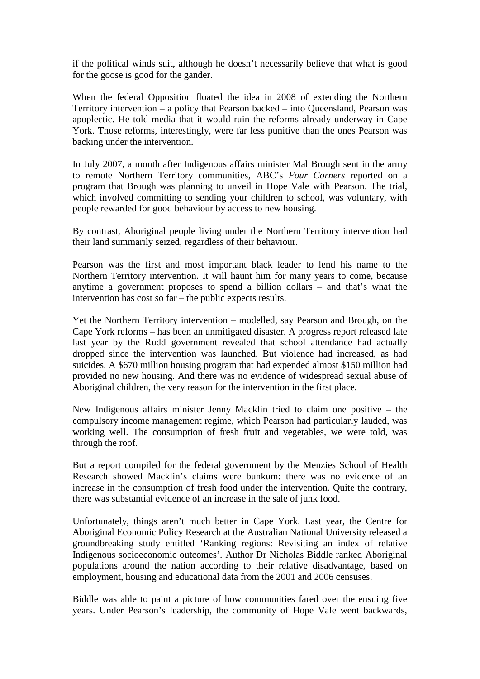if the political winds suit, although he doesn't necessarily believe that what is good for the goose is good for the gander.

When the federal Opposition floated the idea in 2008 of extending the Northern Territory intervention – a policy that Pearson backed – into Queensland, Pearson was apoplectic. He told media that it would ruin the reforms already underway in Cape York. Those reforms, interestingly, were far less punitive than the ones Pearson was backing under the intervention.

In July 2007, a month after Indigenous affairs minister Mal Brough sent in the army to remote Northern Territory communities, ABC's *Four Corners* reported on a program that Brough was planning to unveil in Hope Vale with Pearson. The trial, which involved committing to sending your children to school, was voluntary, with people rewarded for good behaviour by access to new housing.

By contrast, Aboriginal people living under the Northern Territory intervention had their land summarily seized, regardless of their behaviour.

Pearson was the first and most important black leader to lend his name to the Northern Territory intervention. It will haunt him for many years to come, because anytime a government proposes to spend a billion dollars – and that's what the intervention has cost so far – the public expects results.

Yet the Northern Territory intervention – modelled, say Pearson and Brough, on the Cape York reforms – has been an unmitigated disaster. A progress report released late last year by the Rudd government revealed that school attendance had actually dropped since the intervention was launched. But violence had increased, as had suicides. A \$670 million housing program that had expended almost \$150 million had provided no new housing. And there was no evidence of widespread sexual abuse of Aboriginal children, the very reason for the intervention in the first place.

New Indigenous affairs minister Jenny Macklin tried to claim one positive – the compulsory income management regime, which Pearson had particularly lauded, was working well. The consumption of fresh fruit and vegetables, we were told, was through the roof.

But a report compiled for the federal government by the Menzies School of Health Research showed Macklin's claims were bunkum: there was no evidence of an increase in the consumption of fresh food under the intervention. Quite the contrary, there was substantial evidence of an increase in the sale of junk food.

Unfortunately, things aren't much better in Cape York. Last year, the Centre for Aboriginal Economic Policy Research at the Australian National University released a groundbreaking study entitled 'Ranking regions: Revisiting an index of relative Indigenous socioeconomic outcomes'. Author Dr Nicholas Biddle ranked Aboriginal populations around the nation according to their relative disadvantage, based on employment, housing and educational data from the 2001 and 2006 censuses.

Biddle was able to paint a picture of how communities fared over the ensuing five years. Under Pearson's leadership, the community of Hope Vale went backwards,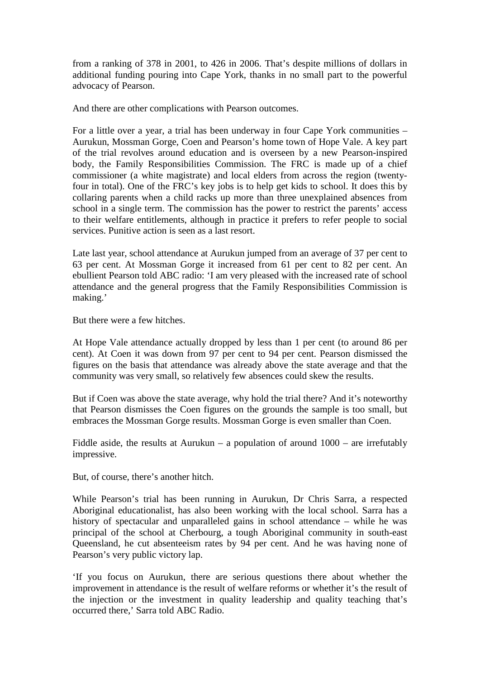from a ranking of 378 in 2001, to 426 in 2006. That's despite millions of dollars in additional funding pouring into Cape York, thanks in no small part to the powerful advocacy of Pearson.

And there are other complications with Pearson outcomes.

For a little over a year, a trial has been underway in four Cape York communities – Aurukun, Mossman Gorge, Coen and Pearson's home town of Hope Vale. A key part of the trial revolves around education and is overseen by a new Pearson-inspired body, the Family Responsibilities Commission. The FRC is made up of a chief commissioner (a white magistrate) and local elders from across the region (twentyfour in total). One of the FRC's key jobs is to help get kids to school. It does this by collaring parents when a child racks up more than three unexplained absences from school in a single term. The commission has the power to restrict the parents' access to their welfare entitlements, although in practice it prefers to refer people to social services. Punitive action is seen as a last resort.

Late last year, school attendance at Aurukun jumped from an average of 37 per cent to 63 per cent. At Mossman Gorge it increased from 61 per cent to 82 per cent. An ebullient Pearson told ABC radio: 'I am very pleased with the increased rate of school attendance and the general progress that the Family Responsibilities Commission is making.'

But there were a few hitches.

At Hope Vale attendance actually dropped by less than 1 per cent (to around 86 per cent). At Coen it was down from 97 per cent to 94 per cent. Pearson dismissed the figures on the basis that attendance was already above the state average and that the community was very small, so relatively few absences could skew the results.

But if Coen was above the state average, why hold the trial there? And it's noteworthy that Pearson dismisses the Coen figures on the grounds the sample is too small, but embraces the Mossman Gorge results. Mossman Gorge is even smaller than Coen.

Fiddle aside, the results at Aurukun – a population of around  $1000$  – are irrefutably impressive.

But, of course, there's another hitch.

While Pearson's trial has been running in Aurukun, Dr Chris Sarra, a respected Aboriginal educationalist, has also been working with the local school. Sarra has a history of spectacular and unparalleled gains in school attendance – while he was principal of the school at Cherbourg, a tough Aboriginal community in south-east Queensland, he cut absenteeism rates by 94 per cent. And he was having none of Pearson's very public victory lap.

'If you focus on Aurukun, there are serious questions there about whether the improvement in attendance is the result of welfare reforms or whether it's the result of the injection or the investment in quality leadership and quality teaching that's occurred there,' Sarra told ABC Radio.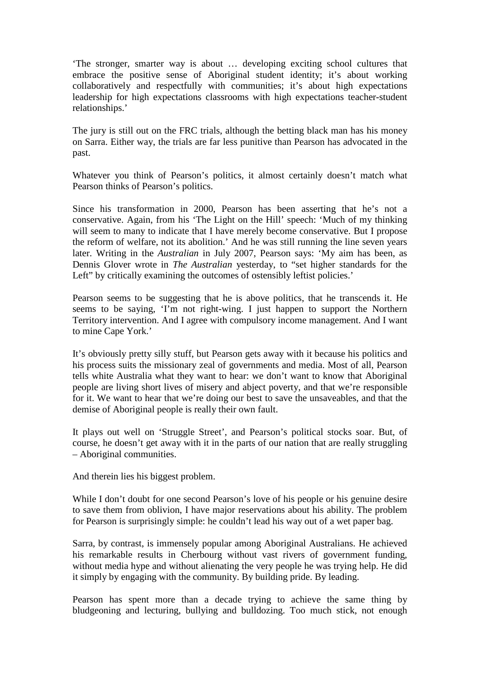'The stronger, smarter way is about … developing exciting school cultures that embrace the positive sense of Aboriginal student identity; it's about working collaboratively and respectfully with communities; it's about high expectations leadership for high expectations classrooms with high expectations teacher-student relationships.'

The jury is still out on the FRC trials, although the betting black man has his money on Sarra. Either way, the trials are far less punitive than Pearson has advocated in the past.

Whatever you think of Pearson's politics, it almost certainly doesn't match what Pearson thinks of Pearson's politics.

Since his transformation in 2000, Pearson has been asserting that he's not a conservative. Again, from his 'The Light on the Hill' speech: 'Much of my thinking will seem to many to indicate that I have merely become conservative. But I propose the reform of welfare, not its abolition.' And he was still running the line seven years later. Writing in the *Australian* in July 2007, Pearson says: 'My aim has been, as Dennis Glover wrote in *The Australian* yesterday, to "set higher standards for the Left" by critically examining the outcomes of ostensibly leftist policies.'

Pearson seems to be suggesting that he is above politics, that he transcends it. He seems to be saying, 'I'm not right-wing. I just happen to support the Northern Territory intervention. And I agree with compulsory income management. And I want to mine Cape York.'

It's obviously pretty silly stuff, but Pearson gets away with it because his politics and his process suits the missionary zeal of governments and media. Most of all, Pearson tells white Australia what they want to hear: we don't want to know that Aboriginal people are living short lives of misery and abject poverty, and that we're responsible for it. We want to hear that we're doing our best to save the unsaveables, and that the demise of Aboriginal people is really their own fault.

It plays out well on 'Struggle Street', and Pearson's political stocks soar. But, of course, he doesn't get away with it in the parts of our nation that are really struggling – Aboriginal communities.

And therein lies his biggest problem.

While I don't doubt for one second Pearson's love of his people or his genuine desire to save them from oblivion, I have major reservations about his ability. The problem for Pearson is surprisingly simple: he couldn't lead his way out of a wet paper bag.

Sarra, by contrast, is immensely popular among Aboriginal Australians. He achieved his remarkable results in Cherbourg without vast rivers of government funding, without media hype and without alienating the very people he was trying help. He did it simply by engaging with the community. By building pride. By leading.

Pearson has spent more than a decade trying to achieve the same thing by bludgeoning and lecturing, bullying and bulldozing. Too much stick, not enough